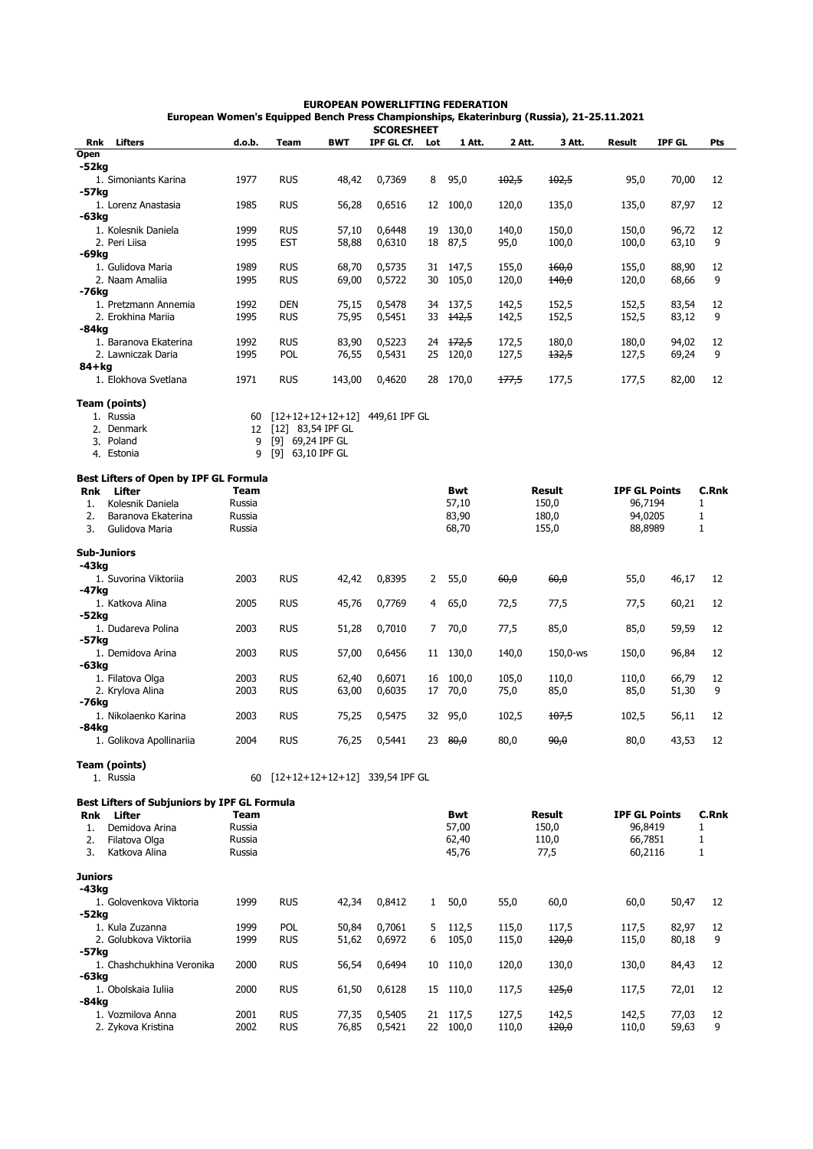## **EUROPEAN POWERLIFTING FEDERATION European Women's Equipped Bench Press Championships, Ekaterinburg (Russia), 21-25.11.2021**

|                |                                                               |             |                     |            | <b>SCORESHEET</b>                 |              |                     |         |                  |                      |               |              |
|----------------|---------------------------------------------------------------|-------------|---------------------|------------|-----------------------------------|--------------|---------------------|---------|------------------|----------------------|---------------|--------------|
| Rnk            | Lifters                                                       | d.o.b.      | Team                | <b>BWT</b> | IPF GL Cf.                        | Lot          | 1 Att.              | 2 Att.  | 3 Att.           | <b>Result</b>        | <b>IPF GL</b> | Pts          |
| Open           |                                                               |             |                     |            |                                   |              |                     |         |                  |                      |               |              |
| -52kg          |                                                               |             |                     |            |                                   |              |                     |         |                  |                      |               |              |
|                | 1. Simoniants Karina                                          | 1977        | <b>RUS</b>          | 48,42      | 0,7369                            | 8            | 95,0                | $+02,5$ | 102,5            | 95,0                 | 70,00         | 12           |
| -57kg          |                                                               |             |                     |            |                                   |              |                     |         |                  |                      |               |              |
|                | 1. Lorenz Anastasia                                           | 1985        | <b>RUS</b>          | 56,28      | 0,6516                            | 12           | 100,0               | 120,0   | 135,0            | 135,0                | 87,97         | 12           |
| -63kg          |                                                               |             |                     |            |                                   |              |                     |         |                  |                      |               |              |
|                | 1. Kolesnik Daniela                                           | 1999        | <b>RUS</b>          | 57,10      | 0,6448                            |              | 19 130,0            | 140,0   | 150,0            | 150,0                | 96,72         | 12           |
|                | 2. Peri Liisa                                                 | 1995        | <b>EST</b>          | 58,88      | 0,6310                            | 18           | 87,5                | 95,0    | 100,0            | 100,0                | 63,10         | 9            |
| -69kg          |                                                               |             |                     |            |                                   |              |                     |         |                  |                      |               |              |
|                | 1. Gulidova Maria                                             | 1989        | <b>RUS</b>          | 68,70      | 0,5735                            |              | 31 147,5            | 155,0   | 160,0            | 155,0                | 88,90         | 12           |
|                | 2. Naam Amaliia                                               | 1995        | <b>RUS</b>          | 69,00      | 0,5722                            |              | 30 105,0            | 120,0   | <del>140,0</del> | 120,0                | 68,66         | 9            |
| -76kg          |                                                               |             |                     |            |                                   |              |                     |         |                  |                      |               |              |
|                | 1. Pretzmann Annemia                                          | 1992        | <b>DEN</b>          | 75,15      | 0,5478                            |              | 34 137,5            | 142,5   | 152,5            | 152,5                | 83,54         | 12           |
|                | 2. Erokhina Marija                                            | 1995        | <b>RUS</b>          | 75,95      | 0,5451                            |              | 33 <del>142,5</del> | 142,5   | 152,5            | 152,5                | 83,12         | 9            |
| -84kg          |                                                               |             |                     |            |                                   |              |                     |         |                  |                      |               |              |
|                | 1. Baranova Ekaterina                                         | 1992        | <b>RUS</b>          | 83,90      | 0,5223                            |              | 24 172,5            | 172,5   | 180,0            | 180,0                | 94,02         | 12           |
|                | 2. Lawniczak Daria                                            | 1995        | <b>POL</b>          | 76,55      | 0,5431                            |              | 25 120,0            | 127,5   | 132,5            | 127,5                | 69,24         | 9            |
| 84+kg          |                                                               |             |                     |            |                                   |              |                     |         |                  |                      |               |              |
|                | 1. Elokhova Svetlana                                          | 1971        | <b>RUS</b>          | 143,00     | 0,4620                            | 28           | 170,0               | 177,5   | 177,5            | 177,5                | 82,00         | 12           |
|                |                                                               |             |                     |            |                                   |              |                     |         |                  |                      |               |              |
|                | Team (points)                                                 |             |                     |            |                                   |              |                     |         |                  |                      |               |              |
|                | 1. Russia                                                     |             |                     |            | $[12+12+12+12+12]$ 449,61 IPF GL  |              |                     |         |                  |                      |               |              |
|                |                                                               | 60          |                     |            |                                   |              |                     |         |                  |                      |               |              |
|                | 2. Denmark                                                    | 12          | $[12]$ 83,54 IPF GL |            |                                   |              |                     |         |                  |                      |               |              |
|                | 3. Poland                                                     | 9           | [9] 69,24 IPF GL    |            |                                   |              |                     |         |                  |                      |               |              |
|                | 4. Estonia                                                    | 9           | [9] 63,10 IPF GL    |            |                                   |              |                     |         |                  |                      |               |              |
|                |                                                               |             |                     |            |                                   |              |                     |         |                  |                      |               |              |
|                | Best Lifters of Open by IPF GL Formula                        |             |                     |            |                                   |              |                     |         |                  |                      |               |              |
| <b>Rnk</b>     | Lifter                                                        | <b>Team</b> |                     |            |                                   |              | <b>Bwt</b>          |         | Result           | <b>IPF GL Points</b> |               | <b>C.Rnk</b> |
| 1.             | Kolesnik Daniela                                              | Russia      |                     |            |                                   |              | 57,10               |         | 150,0            | 96,7194              |               | $\mathbf{1}$ |
| 2.             | Baranova Ekaterina                                            | Russia      |                     |            |                                   |              | 83,90               |         | 180,0            | 94,0205              |               | $\mathbf{1}$ |
| 3.             | Gulidova Maria                                                | Russia      |                     |            |                                   |              | 68,70               |         | 155,0            | 88,8989              |               | $\mathbf{1}$ |
|                |                                                               |             |                     |            |                                   |              |                     |         |                  |                      |               |              |
|                | <b>Sub-Juniors</b>                                            |             |                     |            |                                   |              |                     |         |                  |                      |               |              |
| -43kg          |                                                               |             |                     |            |                                   |              |                     |         |                  |                      |               |              |
|                | 1. Suvorina Viktoriia                                         | 2003        | <b>RUS</b>          | 42,42      | 0,8395                            |              | 2 55,0              | 60,0    | 60,0             | 55,0                 | 46,17         | 12           |
| -47kg          |                                                               |             |                     |            |                                   |              |                     |         |                  |                      |               |              |
|                | 1. Katkova Alina                                              | 2005        | <b>RUS</b>          | 45,76      | 0,7769                            | 4            | 65,0                | 72,5    | 77,5             | 77,5                 | 60,21         | 12           |
| -52kg          |                                                               |             |                     |            |                                   |              |                     |         |                  |                      |               |              |
|                | 1. Dudareva Polina                                            | 2003        | <b>RUS</b>          | 51,28      | 0,7010                            |              | 7 70,0              | 77,5    | 85,0             | 85,0                 | 59,59         | 12           |
| -57kg          |                                                               |             |                     |            |                                   |              |                     |         |                  |                      |               |              |
|                | 1. Demidova Arina                                             | 2003        | <b>RUS</b>          | 57,00      | 0,6456                            |              | 11 130,0            | 140,0   | 150,0-ws         | 150,0                | 96,84         | 12           |
| -63kg          |                                                               |             |                     |            |                                   |              |                     |         |                  |                      |               |              |
|                | 1. Filatova Olga                                              | 2003        | <b>RUS</b>          | 62,40      | 0,6071                            |              | 16 100,0            | 105,0   | 110,0            | 110,0                | 66,79         | 12           |
|                | 2. Krylova Alina                                              | 2003        | <b>RUS</b>          | 63,00      | 0,6035                            |              | 17 70,0             | 75,0    | 85,0             | 85,0                 | 51,30         | 9            |
| -76kg          |                                                               |             |                     |            |                                   |              |                     |         |                  |                      |               |              |
|                | 1. Nikolaenko Karina                                          | 2003        | <b>RUS</b>          | 75,25      | 0,5475                            | 32           | 95,0                | 102,5   | 107,5            | 102,5                | 56,11         | 12           |
| $-84kg$        |                                                               |             |                     |            |                                   |              |                     |         |                  |                      |               |              |
|                | 1. Golikova Apollinariia                                      | 2004        | <b>RUS</b>          |            | 76,25 0,5441                      |              | 23 $80,0$           | 80,0    | 90,0             | 80,0                 | 43,53         |              |
|                |                                                               |             |                     |            |                                   |              |                     |         |                  |                      |               | 12           |
|                |                                                               |             |                     |            |                                   |              |                     |         |                  |                      |               |              |
|                | Team (points)                                                 |             |                     |            |                                   |              |                     |         |                  |                      |               |              |
|                | 1. Russia                                                     |             |                     |            | 60 [12+12+12+12+12] 339,54 IPF GL |              |                     |         |                  |                      |               |              |
|                |                                                               |             |                     |            |                                   |              |                     |         |                  |                      |               |              |
|                | <b>Best Lifters of Subjuniors by IPF GL Formula</b><br>Lifter |             |                     |            |                                   |              |                     |         |                  |                      |               |              |
| Rnk            |                                                               | Team        |                     |            |                                   |              | <b>Bwt</b>          |         | <b>Result</b>    | <b>IPF GL Points</b> |               | <b>C.Rnk</b> |
| 1.             | Demidova Arina                                                | Russia      |                     |            |                                   |              | 57,00               |         | 150,0            | 96,8419              |               | $\mathbf{1}$ |
| 2.             | Filatova Olga                                                 | Russia      |                     |            |                                   |              | 62,40               |         | 110,0            | 66,7851              |               | $\mathbf{1}$ |
| 3.             | Katkova Alina                                                 | Russia      |                     |            |                                   |              | 45,76               |         | 77,5             | 60,2116              |               | $\mathbf{1}$ |
|                |                                                               |             |                     |            |                                   |              |                     |         |                  |                      |               |              |
| <b>Juniors</b> |                                                               |             |                     |            |                                   |              |                     |         |                  |                      |               |              |
| -43kg          |                                                               |             |                     |            |                                   |              |                     |         |                  |                      |               |              |
|                | 1. Golovenkova Viktoria                                       | 1999        | <b>RUS</b>          | 42,34      | 0,8412                            | $\mathbf{1}$ | 50,0                | 55,0    | 60,0             | 60,0                 | 50,47         | 12           |
| -52kg          |                                                               |             |                     |            |                                   |              |                     |         |                  |                      |               |              |
|                | 1. Kula Zuzanna                                               | 1999        | <b>POL</b>          | 50,84      | 0,7061                            | 5            | 112,5               | 115,0   | 117,5            | 117,5                | 82,97         | 12           |
|                | 2. Golubkova Viktorija                                        | 1999        | <b>RUS</b>          | 51,62      | 0,6972                            | 6            | 105,0               | 115,0   | 420,0            | 115,0                | 80,18         | 9            |
| -57kg          |                                                               |             |                     |            |                                   |              |                     |         |                  |                      |               |              |
|                | 1. Chashchukhina Veronika                                     | 2000        | <b>RUS</b>          | 56,54      | 0,6494                            |              | 10 110,0            | 120,0   | 130,0            | 130,0                | 84,43         | 12           |
| -63kg          |                                                               |             |                     |            |                                   |              |                     |         |                  |                      |               |              |
|                | 1. Obolskaia Iuliia                                           | 2000        | <b>RUS</b>          | 61,50      | 0,6128                            |              | 15 110,0            | 117,5   | <del>125,0</del> | 117,5                | 72,01         | 12           |
| -84kg          |                                                               |             |                     |            |                                   |              |                     |         |                  |                      |               |              |
|                | 1. Vozmilova Anna                                             | 2001        | <b>RUS</b>          | 77,35      | 0,5405                            |              | 21 117,5            | 127,5   | 142,5            | 142,5                | 77,03         | 12           |
|                | 2. Zykova Kristina                                            | 2002        | <b>RUS</b>          | 76,85      | 0,5421                            |              | 22 100,0            | 110,0   | 120,0            | 110,0                | 59,63         | 9            |
|                |                                                               |             |                     |            |                                   |              |                     |         |                  |                      |               |              |